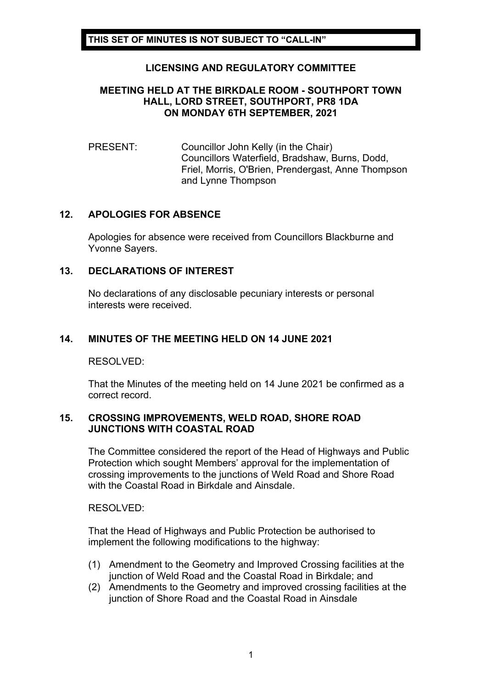# **LICENSING AND REGULATORY COMMITTEE**

# **MEETING HELD AT THE BIRKDALE ROOM - SOUTHPORT TOWN HALL, LORD STREET, SOUTHPORT, PR8 1DA ON MONDAY 6TH SEPTEMBER, 2021**

## PRESENT: Councillor John Kelly (in the Chair) Councillors Waterfield, Bradshaw, Burns, Dodd, Friel, Morris, O'Brien, Prendergast, Anne Thompson and Lynne Thompson

# **12. APOLOGIES FOR ABSENCE**

Apologies for absence were received from Councillors Blackburne and Yvonne Sayers.

### **13. DECLARATIONS OF INTEREST**

No declarations of any disclosable pecuniary interests or personal interests were received.

# **14. MINUTES OF THE MEETING HELD ON 14 JUNE 2021**

### RESOLVED:

That the Minutes of the meeting held on 14 June 2021 be confirmed as a correct record.

#### **15. CROSSING IMPROVEMENTS, WELD ROAD, SHORE ROAD JUNCTIONS WITH COASTAL ROAD**

The Committee considered the report of the Head of Highways and Public Protection which sought Members' approval for the implementation of crossing improvements to the junctions of Weld Road and Shore Road with the Coastal Road in Birkdale and Ainsdale.

RESOLVED:

That the Head of Highways and Public Protection be authorised to implement the following modifications to the highway:

- (1) Amendment to the Geometry and Improved Crossing facilities at the junction of Weld Road and the Coastal Road in Birkdale; and
- (2) Amendments to the Geometry and improved crossing facilities at the junction of Shore Road and the Coastal Road in Ainsdale